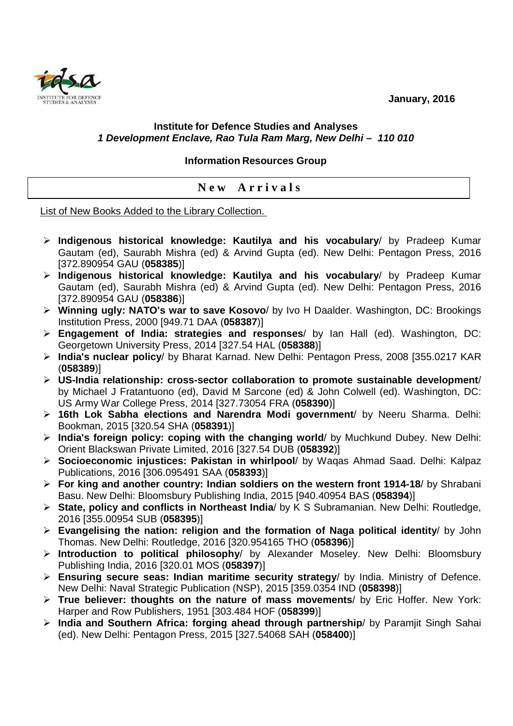**January, 2016** 



## **Institute for Defence Studies and Analyses 1 Development Enclave, Rao Tula Ram Marg, New Delhi – 110 010**

**Information Resources Group** 

**N e w A r r i v a l s** 

List of New Books Added to the Library Collection.

- **Indigenous historical knowledge: Kautilya and his vocabulary**/ by Pradeep Kumar Gautam (ed), Saurabh Mishra (ed) & Arvind Gupta (ed). New Delhi: Pentagon Press, 2016 [372.890954 GAU (**058385**)]
- **Indigenous historical knowledge: Kautilya and his vocabulary**/ by Pradeep Kumar Gautam (ed), Saurabh Mishra (ed) & Arvind Gupta (ed). New Delhi: Pentagon Press, 2016 [372.890954 GAU (**058386**)]
- **Winning ugly: NATO's war to save Kosovo**/ by Ivo H Daalder. Washington, DC: Brookings Institution Press, 2000 [949.71 DAA (**058387**)]
- **Engagement of India: strategies and responses**/ by Ian Hall (ed). Washington, DC: Georgetown University Press, 2014 [327.54 HAL (**058388**)]
- **India's nuclear policy**/ by Bharat Karnad. New Delhi: Pentagon Press, 2008 [355.0217 KAR (**058389**)]
- **US-India relationship: cross-sector collaboration to promote sustainable development**/ by Michael J Fratantuono (ed), David M Sarcone (ed) & John Colwell (ed). Washington, DC: US Army War College Press, 2014 [327.73054 FRA (**058390**)]
- **16th Lok Sabha elections and Narendra Modi government**/ by Neeru Sharma. Delhi: Bookman, 2015 [320.54 SHA (**058391**)]
- **India's foreign policy: coping with the changing world**/ by Muchkund Dubey. New Delhi: Orient Blackswan Private Limited, 2016 [327.54 DUB (**058392**)]
- **Socioeconomic injustices: Pakistan in whirlpool**/ by Waqas Ahmad Saad. Delhi: Kalpaz Publications, 2016 [306.095491 SAA (**058393**)]
- **For king and another country: Indian soldiers on the western front 1914-18**/ by Shrabani Basu. New Delhi: Bloomsbury Publishing India, 2015 [940.40954 BAS (**058394**)]
- **State, policy and conflicts in Northeast India**/ by K S Subramanian. New Delhi: Routledge, 2016 [355.00954 SUB (**058395**)]
- **Evangelising the nation: religion and the formation of Naga political identity**/ by John Thomas. New Delhi: Routledge, 2016 [320.954165 THO (**058396**)]
- **Introduction to political philosophy**/ by Alexander Moseley. New Delhi: Bloomsbury Publishing India, 2016 [320.01 MOS (**058397**)]
- **Ensuring secure seas: Indian maritime security strategy**/ by India. Ministry of Defence. New Delhi: Naval Strategic Publication (NSP), 2015 [359.0354 IND (**058398**)]
- **True believer: thoughts on the nature of mass movements**/ by Eric Hoffer. New York: Harper and Row Publishers, 1951 [303.484 HOF (**058399**)]
- **India and Southern Africa: forging ahead through partnership**/ by Paramjit Singh Sahai (ed). New Delhi: Pentagon Press, 2015 [327.54068 SAH (**058400**)]